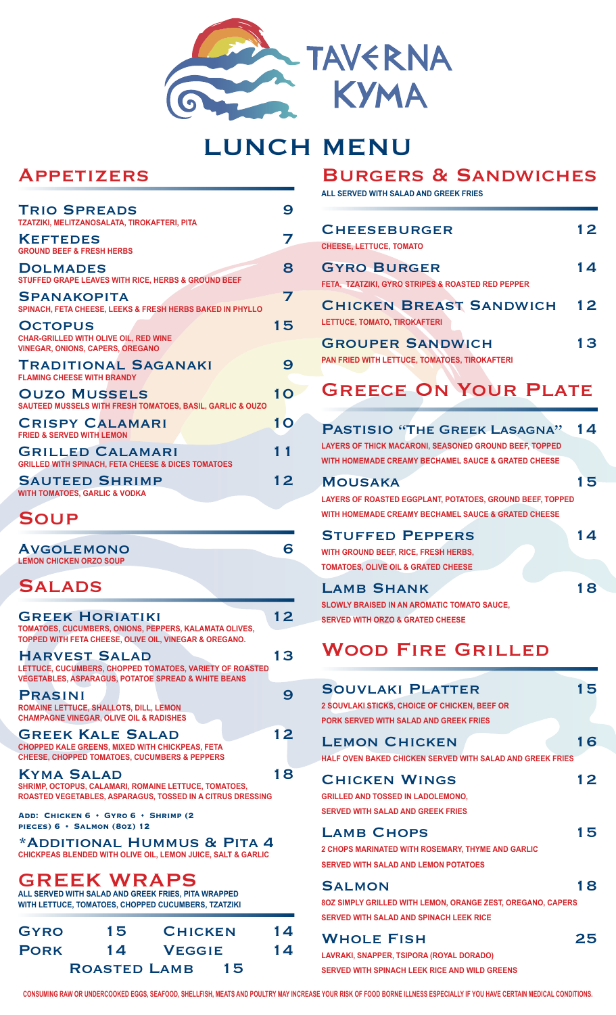

# LUNCH MENU

## Appetizers

| <b>TRIO SPREADS</b><br>TZATZIKI, MELITZANOSALATA, TIROKAFTERI, PITA                                       | 9  |
|-----------------------------------------------------------------------------------------------------------|----|
| <b>KEFTEDES</b><br><b>GROUND BEEF &amp; FRESH HERBS</b>                                                   | 7  |
| <b>DOLMADES</b><br>STUFFED GRAPE LEAVES WITH RICE, HERBS & GROUND BEEF                                    | 8  |
| <b>SPANAKOPITA</b><br>SPINACH, FETA CHEESE, LEEKS & FRESH HERBS BAKED IN PHYLLO                           | 7  |
| <b>OCTOPUS</b><br><b>CHAR-GRILLED WITH OLIVE OIL, RED WINE</b><br><b>VINEGAR, ONIONS, CAPERS, OREGANO</b> | 15 |
| <b>TRADITIONAL SAGANAKI</b><br><b>FLAMING CHEESE WITH BRANDY</b>                                          | 9  |
| <b>OUZO MUSSELS</b><br>SAUTEED MUSSELS WITH FRESH TOMATOES, BASIL, GARLIC & OUZO                          | 10 |
| <b>CRISPY CALAMARI</b><br><b>FRIED &amp; SERVED WITH LEMON</b>                                            | 10 |
| <b>GRILLED CALAMARI</b><br><b>GRILLED WITH SPINACH, FETA CHEESE &amp; DICES TOMATOES</b>                  | 11 |
| <b>SAUTEED SHRIMP</b><br><b>WITH TOMATOES, GARLIC &amp; VODKA</b>                                         | 12 |
| <b>SOUP</b>                                                                                               |    |

| <b>AVGOLEMONO</b><br><b>LEMON CHICKEN ORZO SOUP</b> |  |
|-----------------------------------------------------|--|
| <b>SALADS</b>                                       |  |

| <b>GREEK HORIATIKI</b>                                                                                                                             | 12 |   |
|----------------------------------------------------------------------------------------------------------------------------------------------------|----|---|
| TOMATOES, CUCUMBERS, ONIONS, PEPPERS, KALAMATA OLIVES,<br>TOPPED WITH FETA CHEESE, OLIVE OIL, VINEGAR & OREGANO.                                   |    |   |
| <b>HARVEST SALAD</b><br>LETTUCE, CUCUMBERS, CHOPPED TOMATOES, VARIETY OF ROASTED<br><b>VEGETABLES, ASPARAGUS, POTATOE SPREAD &amp; WHITE BEANS</b> | 13 |   |
| <b>PRASINI</b><br><b>ROMAINE LETTUCE, SHALLOTS, DILL, LEMON</b><br><b>CHAMPAGNE VINEGAR, OLIVE OIL &amp; RADISHES</b>                              |    | 9 |
| <b>GREEK KALE SALAD</b><br>CHOPPED KALE GREENS, MIXED WITH CHICKPEAS, FETA<br><b>CHEESE, CHOPPED TOMATOES, CUCUMBERS &amp; PEPPERS</b>             | 12 |   |
| <b>KYMA SALAD</b><br>SHRIMP, OCTOPUS, CALAMARI, ROMAINE LETTUCE, TOMATOES,<br>ROASTED VEGETABLES, ASPARAGUS, TOSSED IN A CITRUS DRESSING           | 18 |   |
| ADD: CHICKEN 6 + GYRO 6 + SHRIMP (2)<br>PIECES) 6 + SALMON (80Z) 12                                                                                |    |   |
| *ADDITIONAL HUMMUS & PITA 4<br>CHICKPEAS BLENDED WITH OLIVE OIL, LEMON JUICE, SALT & GARLIC                                                        |    |   |

## GREEK WRAPS

**ALL SERVED WITH SALAD AND GREEK FRIES, PITA WRAPPED WITH LETTUCE, TOMATOES, CHOPPED CUCUMBERS, TZATZIKI**

| <b>GYRO</b>               | 15 | <b>CHICKEN</b> |  | 14 |
|---------------------------|----|----------------|--|----|
| <b>PORK</b>               | 14 | <b>VEGGIE</b>  |  | 14 |
| <b>ROASTED LAMB</b><br>15 |    |                |  |    |

## Burgers & Sandwiches

**ALL SERVED WITH SALAD AND GREEK FRIES**

| <b>CHEESEBURGER</b><br><b>CHEESE, LETTUCE, TOMATO</b>                                                                                                | 12 |
|------------------------------------------------------------------------------------------------------------------------------------------------------|----|
| <b>GYRO BURGER</b><br>FETA, TZATZIKI, GYRO STRIPES & ROASTED RED PEPPER                                                                              | 14 |
| <b>CHICKEN BREAST SANDWICH</b><br>LETTUCE, TOMATO, TIROKAFTERI                                                                                       | 12 |
| <b>GROUPER SANDWICH</b><br>PAN FRIED WITH LETTUCE, TOMATOES, TIROKAFTERI                                                                             | 13 |
| <b>GREECE ON YOUR PLATE</b>                                                                                                                          |    |
| <b>PASTISIO "THE GREEK LASAGNA"</b><br>LAYERS OF THICK MACARONI, SEASONED GROUND BEEF, TOPPED<br>WITH HOMEMADE CREAMY BECHAMEL SAUCE & GRATED CHEESE | 14 |
| <b>MOUSAKA</b><br>LAYERS OF ROASTED EGGPLANT, POTATOES, GROUND BEEF, TOPPED<br>WITH HOMEMADE CREAMY BECHAMEL SAUCE & GRATED CHEESE                   | 15 |
| <b>STUFFED PEPPERS</b><br>WITH GROUND BEEF, RICE, FRESH HERBS,<br>TOMATOES, OLIVE OIL & GRATED CHEESE                                                | 14 |
| <b>LAMB SHANK</b><br><b>SLOWLY BRAISED IN AN AROMATIC TOMATO SAUCE,</b><br><b>SERVED WITH ORZO &amp; GRATED CHEESE</b>                               | 18 |
| WOOD FIRE GRILLED                                                                                                                                    |    |
| <b>SOUVLAKI PLATTER</b><br>2 SOUVLAKI STICKS, CHOICE OF CHICKEN, BEEF OR<br>PORK SERVED WITH SALAD AND GREEK FRIES                                   | 15 |
| <b>LEMON CHICKEN</b>                                                                                                                                 | 16 |

| 12 |
|----|
|    |
|    |
| 15 |
|    |
|    |
| 18 |
|    |
|    |

**SERVED WITH SALAD AND SPINACH LEEK RICE** WHOLE FISH 25

**LAVRAKI, SNAPPER, TSIPORA (ROYAL DORADO) SERVED WITH SPINACH LEEK RICE AND WILD GREENS**

**CONSUMING RAW OR UNDERCOOKED EGGS, SEAFOOD, SHELLFISH, MEATS AND POULTRY MAY INCREASE YOUR RISK OF FOOD BORNE ILLNESS ESPECIALLY IF YOU HAVE CERTAIN MEDICAL CONDITIONS.**